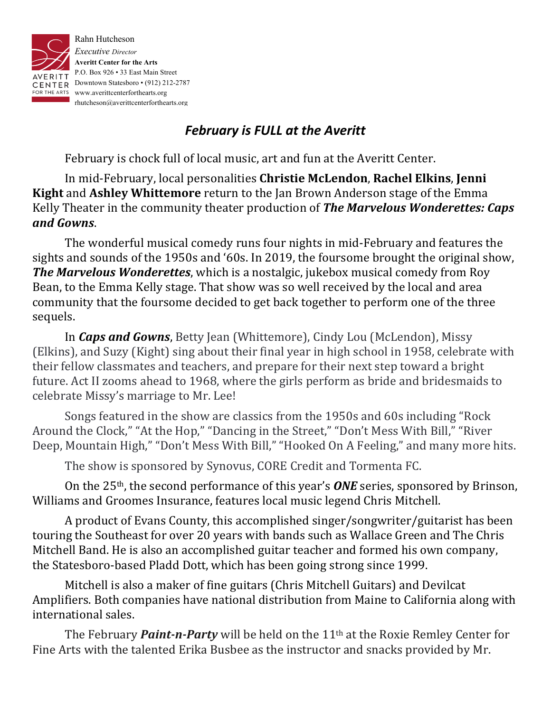

## *February is FULL at the Averitt*

February is chock full of local music, art and fun at the Averitt Center.

In mid-February, local personalities **Christie McLendon**, **Rachel Elkins**, Jenni **Kight** and **Ashley Whittemore** return to the Jan Brown Anderson stage of the Emma Kelly Theater in the community theater production of The Marvelous Wonderettes: Caps *and Gowns*. 

The wonderful musical comedy runs four nights in mid-February and features the sights and sounds of the 1950s and '60s. In 2019, the foursome brought the original show, **The Marvelous Wonderettes**, which is a nostalgic, jukebox musical comedy from Roy Bean, to the Emma Kelly stage. That show was so well received by the local and area community that the foursome decided to get back together to perform one of the three sequels.

In *Caps and Gowns*, Betty Jean (Whittemore), Cindy Lou (McLendon), Missy (Elkins), and Suzy (Kight) sing about their final year in high school in 1958, celebrate with their fellow classmates and teachers, and prepare for their next step toward a bright future. Act II zooms ahead to 1968, where the girls perform as bride and bridesmaids to celebrate Missy's marriage to Mr. Lee!

Songs featured in the show are classics from the 1950s and 60s including "Rock Around the Clock," "At the Hop," "Dancing in the Street," "Don't Mess With Bill," "River Deep, Mountain High," "Don't Mess With Bill," "Hooked On A Feeling," and many more hits.

The show is sponsored by Synovus, CORE Credit and Tormenta FC.

On the 25<sup>th</sup>, the second performance of this year's **ONE** series, sponsored by Brinson, Williams and Groomes Insurance, features local music legend Chris Mitchell.

A product of Evans County, this accomplished singer/songwriter/guitarist has been touring the Southeast for over 20 years with bands such as Wallace Green and The Chris Mitchell Band. He is also an accomplished guitar teacher and formed his own company, the Statesboro-based Pladd Dott, which has been going strong since 1999.

Mitchell is also a maker of fine guitars (Chris Mitchell Guitars) and Devilcat Amplifiers. Both companies have national distribution from Maine to California along with international sales.

The February *Paint-n-Party* will be held on the 11<sup>th</sup> at the Roxie Remley Center for Fine Arts with the talented Erika Busbee as the instructor and snacks provided by Mr.